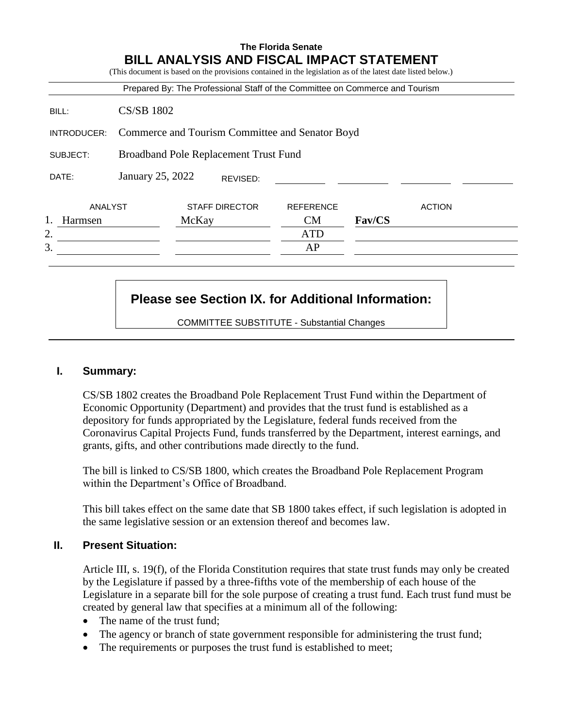|             |                                                 |       |                       | Prepared By: The Professional Staff of the Committee on Commerce and Tourism |        |               |
|-------------|-------------------------------------------------|-------|-----------------------|------------------------------------------------------------------------------|--------|---------------|
| BILL:       | <b>CS/SB 1802</b>                               |       |                       |                                                                              |        |               |
| INTRODUCER: | Commerce and Tourism Committee and Senator Boyd |       |                       |                                                                              |        |               |
| SUBJECT:    | <b>Broadband Pole Replacement Trust Fund</b>    |       |                       |                                                                              |        |               |
| DATE:       | January 25, 2022                                |       | REVISED:              |                                                                              |        |               |
| ANALYST     |                                                 |       | <b>STAFF DIRECTOR</b> | <b>REFERENCE</b>                                                             |        | <b>ACTION</b> |
| Harmsen     |                                                 | McKay |                       | CM                                                                           | Fav/CS |               |
| 2.          |                                                 |       |                       | <b>ATD</b>                                                                   |        |               |
| 3.          |                                                 |       |                       | AP                                                                           |        |               |

# **Please see Section IX. for Additional Information:**

COMMITTEE SUBSTITUTE - Substantial Changes

#### **I. Summary:**

CS/SB 1802 creates the Broadband Pole Replacement Trust Fund within the Department of Economic Opportunity (Department) and provides that the trust fund is established as a depository for funds appropriated by the Legislature, federal funds received from the Coronavirus Capital Projects Fund, funds transferred by the Department, interest earnings, and grants, gifts, and other contributions made directly to the fund.

The bill is linked to CS/SB 1800, which creates the Broadband Pole Replacement Program within the Department's Office of Broadband.

This bill takes effect on the same date that SB 1800 takes effect, if such legislation is adopted in the same legislative session or an extension thereof and becomes law.

## **II. Present Situation:**

Article III, s. 19(f), of the Florida Constitution requires that state trust funds may only be created by the Legislature if passed by a three-fifths vote of the membership of each house of the Legislature in a separate bill for the sole purpose of creating a trust fund. Each trust fund must be created by general law that specifies at a minimum all of the following:

- The name of the trust fund;
- The agency or branch of state government responsible for administering the trust fund;
- The requirements or purposes the trust fund is established to meet;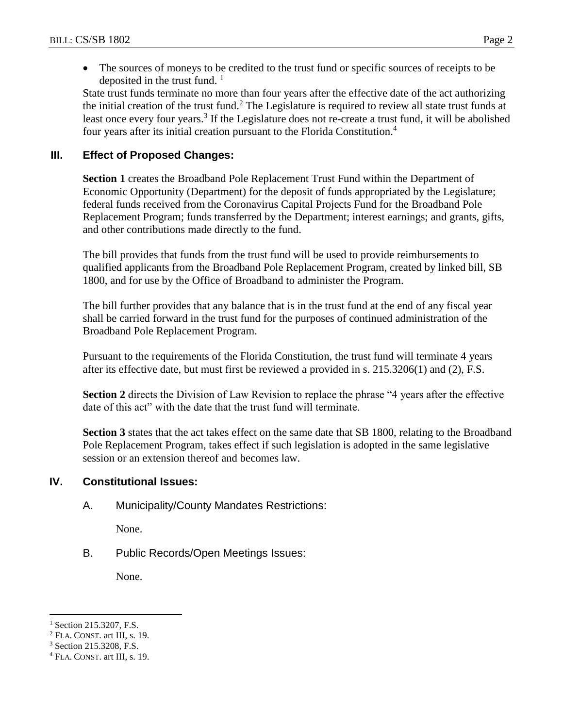The sources of moneys to be credited to the trust fund or specific sources of receipts to be deposited in the trust fund.  $\frac{1}{1}$ 

State trust funds terminate no more than four years after the effective date of the act authorizing the initial creation of the trust fund.<sup>2</sup> The Legislature is required to review all state trust funds at least once every four years.<sup>3</sup> If the Legislature does not re-create a trust fund, it will be abolished four years after its initial creation pursuant to the Florida Constitution.<sup>4</sup>

## **III. Effect of Proposed Changes:**

**Section 1** creates the Broadband Pole Replacement Trust Fund within the Department of Economic Opportunity (Department) for the deposit of funds appropriated by the Legislature; federal funds received from the Coronavirus Capital Projects Fund for the Broadband Pole Replacement Program; funds transferred by the Department; interest earnings; and grants, gifts, and other contributions made directly to the fund.

The bill provides that funds from the trust fund will be used to provide reimbursements to qualified applicants from the Broadband Pole Replacement Program, created by linked bill, SB 1800, and for use by the Office of Broadband to administer the Program.

The bill further provides that any balance that is in the trust fund at the end of any fiscal year shall be carried forward in the trust fund for the purposes of continued administration of the Broadband Pole Replacement Program.

Pursuant to the requirements of the Florida Constitution, the trust fund will terminate 4 years after its effective date, but must first be reviewed a provided in s. 215.3206(1) and (2), F.S.

**Section 2** directs the Division of Law Revision to replace the phrase "4 years after the effective date of this act" with the date that the trust fund will terminate.

**Section 3** states that the act takes effect on the same date that SB 1800, relating to the Broadband Pole Replacement Program, takes effect if such legislation is adopted in the same legislative session or an extension thereof and becomes law.

## **IV. Constitutional Issues:**

A. Municipality/County Mandates Restrictions:

None.

B. Public Records/Open Meetings Issues:

None.

 $\overline{a}$ 

<sup>&</sup>lt;sup>1</sup> Section 215.3207, F.S.

<sup>2</sup> FLA. CONST. art III, s. 19.

<sup>3</sup> Section 215.3208, F.S.

<sup>4</sup> FLA. CONST. art III, s. 19.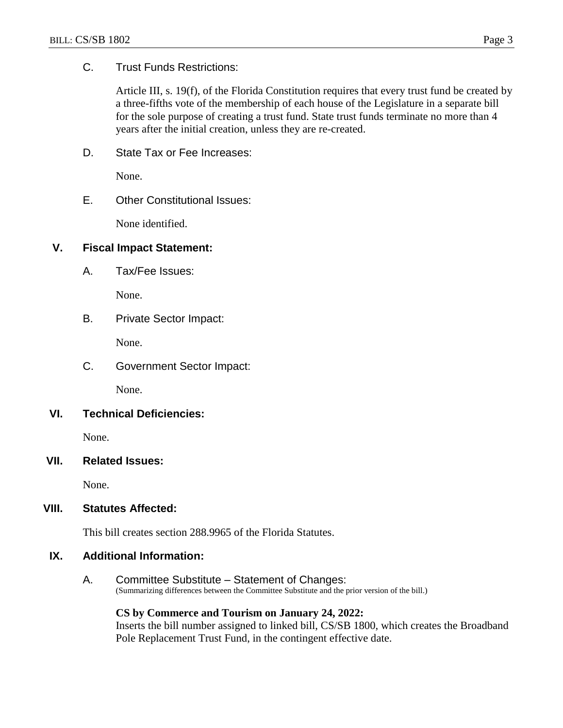### C. Trust Funds Restrictions:

Article III, s. 19(f), of the Florida Constitution requires that every trust fund be created by a three-fifths vote of the membership of each house of the Legislature in a separate bill for the sole purpose of creating a trust fund. State trust funds terminate no more than 4 years after the initial creation, unless they are re-created.

D. State Tax or Fee Increases:

None.

E. Other Constitutional Issues:

None identified.

## **V. Fiscal Impact Statement:**

A. Tax/Fee Issues:

None.

B. Private Sector Impact:

None.

C. Government Sector Impact:

None.

**VI. Technical Deficiencies:**

None.

**VII. Related Issues:**

None.

#### **VIII. Statutes Affected:**

This bill creates section 288.9965 of the Florida Statutes.

#### **IX. Additional Information:**

A. Committee Substitute – Statement of Changes: (Summarizing differences between the Committee Substitute and the prior version of the bill.)

#### **CS by Commerce and Tourism on January 24, 2022:**

Inserts the bill number assigned to linked bill, CS/SB 1800, which creates the Broadband Pole Replacement Trust Fund, in the contingent effective date.